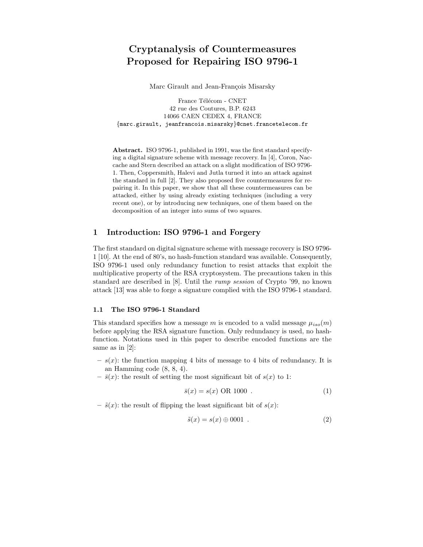# Cryptanalysis of Countermeasures Proposed for Repairing ISO 9796-1

Marc Girault and Jean-François Misarsky

France Télécom - CNET 42 rue des Coutures, B.P. 6243 14066 CAEN CEDEX 4, FRANCE {marc.girault, jeanfrancois.misarsky}@cnet.francetelecom.fr

Abstract. ISO 9796-1, published in 1991, was the first standard specifying a digital signature scheme with message recovery. In [4], Coron, Naccache and Stern described an attack on a slight modification of ISO 9796- 1. Then, Coppersmith, Halevi and Jutla turned it into an attack against the standard in full [2]. They also proposed five countermeasures for repairing it. In this paper, we show that all these countermeasures can be attacked, either by using already existing techniques (including a very recent one), or by introducing new techniques, one of them based on the decomposition of an integer into sums of two squares.

# 1 Introduction: ISO 9796-1 and Forgery

The first standard on digital signature scheme with message recovery is ISO 9796- 1 [10]. At the end of 80's, no hash-function standard was available. Consequently, ISO 9796-1 used only redundancy function to resist attacks that exploit the multiplicative property of the RSA cryptosystem. The precautions taken in this standard are described in [8]. Until the rump session of Crypto '99, no known attack [13] was able to forge a signature complied with the ISO 9796-1 standard.

### 1.1 The ISO 9796-1 Standard

This standard specifies how a message m is encoded to a valid message  $\mu_{iso}(m)$ before applying the RSA signature function. Only redundancy is used, no hashfunction. Notations used in this paper to describe encoded functions are the same as in [2]:

- $s(x)$ : the function mapping 4 bits of message to 4 bits of redundancy. It is an Hamming code (8, 8, 4).
- $\bar{s}(x)$ : the result of setting the most significant bit of  $s(x)$  to 1:

$$
\bar{s}(x) = s(x) \text{ OR } 1000 \tag{1}
$$

–  $\tilde{s}(x)$ : the result of flipping the least significant bit of  $s(x)$ :

$$
\tilde{s}(x) = s(x) \oplus 0001 . \tag{2}
$$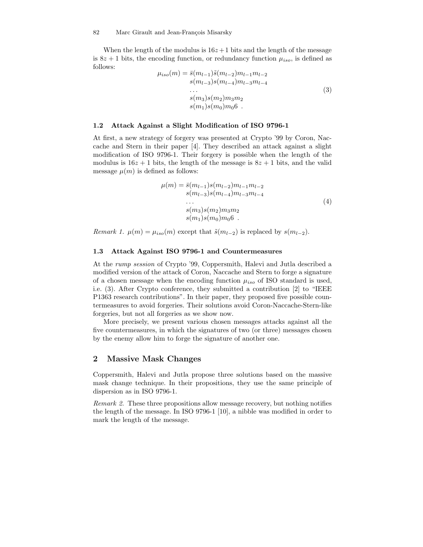When the length of the modulus is  $16z+1$  bits and the length of the message is 8z + 1 bits, the encoding function, or redundancy function  $\mu_{iso}$ , is defined as follows:

$$
\mu_{iso}(m) = \bar{s}(m_{l-1})\tilde{s}(m_{l-2})m_{l-1}m_{l-2}
$$
  
\n
$$
s(m_{l-3})s(m_{l-4})m_{l-3}m_{l-4}
$$
  
\n...  
\n
$$
s(m_3)s(m_2)m_3m_2
$$
  
\n
$$
s(m_1)s(m_0)m_06
$$

### 1.2 Attack Against a Slight Modification of ISO 9796-1

At first, a new strategy of forgery was presented at Crypto '99 by Coron, Naccache and Stern in their paper [4]. They described an attack against a slight modification of ISO 9796-1. Their forgery is possible when the length of the modulus is  $16z + 1$  bits, the length of the message is  $8z + 1$  bits, and the valid message  $\mu(m)$  is defined as follows:

$$
\mu(m) = \bar{s}(m_{l-1})s(m_{l-2})m_{l-1}m_{l-2}
$$
  
\n
$$
s(m_{l-3})s(m_{l-4})m_{l-3}m_{l-4}
$$
  
\n...  
\n
$$
s(m_3)s(m_2)m_3m_2
$$
  
\n
$$
s(m_1)s(m_0)m_06
$$

Remark 1.  $\mu(m) = \mu_{iso}(m)$  except that  $\tilde{s}(m_{l-2})$  is replaced by  $s(m_{l-2})$ .

### 1.3 Attack Against ISO 9796-1 and Countermeasures

At the rump session of Crypto '99, Coppersmith, Halevi and Jutla described a modified version of the attack of Coron, Naccache and Stern to forge a signature of a chosen message when the encoding function  $\mu_{iso}$  of ISO standard is used, i.e. (3). After Crypto conference, they submitted a contribution [2] to "IEEE P1363 research contributions". In their paper, they proposed five possible countermeasures to avoid forgeries. Their solutions avoid Coron-Naccache-Stern-like forgeries, but not all forgeries as we show now.

More precisely, we present various chosen messages attacks against all the five countermeasures, in which the signatures of two (or three) messages chosen by the enemy allow him to forge the signature of another one.

# 2 Massive Mask Changes

Coppersmith, Halevi and Jutla propose three solutions based on the massive mask change technique. In their propositions, they use the same principle of dispersion as in ISO 9796-1.

Remark 2. These three propositions allow message recovery, but nothing notifies the length of the message. In ISO 9796-1 [10], a nibble was modified in order to mark the length of the message.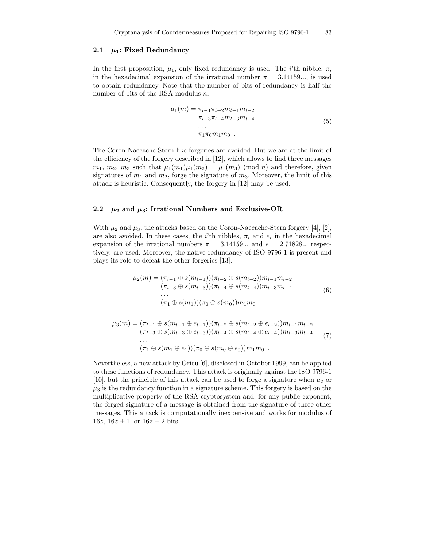### 2.1  $\mu_1$ : Fixed Redundancy

In the first proposition,  $\mu_1$ , only fixed redundancy is used. The *i*'th nibble,  $\pi_i$ in the hexadecimal expansion of the irrational number  $\pi = 3.14159...$ , is used to obtain redundancy. Note that the number of bits of redundancy is half the number of bits of the RSA modulus n.

$$
\mu_1(m) = \pi_{l-1}\pi_{l-2}m_{l-1}m_{l-2}
$$
  
\n
$$
\pi_{l-3}\pi_{l-4}m_{l-3}m_{l-4}
$$
  
\n...  
\n
$$
\pi_1\pi_0m_1m_0
$$
 (5)

The Coron-Naccache-Stern-like forgeries are avoided. But we are at the limit of the efficiency of the forgery described in [12], which allows to find three messages  $m_1, m_2, m_3$  such that  $\mu_1(m_1)\mu_1(m_2) = \mu_1(m_3) \pmod{n}$  and therefore, given signatures of  $m_1$  and  $m_2$ , forge the signature of  $m_3$ . Moreover, the limit of this attack is heuristic. Consequently, the forgery in [12] may be used.

### 2.2  $\mu_2$  and  $\mu_3$ : Irrational Numbers and Exclusive-OR

With  $\mu_2$  and  $\mu_3$ , the attacks based on the Coron-Naccache-Stern forgery [4], [2], are also avoided. In these cases, the *i*'th nibbles,  $\pi_i$  and  $e_i$  in the hexadecimal expansion of the irrational numbers  $\pi = 3.14159...$  and  $e = 2.71828...$  respectively, are used. Moreover, the native redundancy of ISO 9796-1 is present and plays its role to defeat the other forgeries [13].

$$
\mu_2(m) = (\pi_{l-1} \oplus s(m_{l-1}))(\pi_{l-2} \oplus s(m_{l-2}))m_{l-1}m_{l-2}
$$
  
\n
$$
(\pi_{l-3} \oplus s(m_{l-3}))(\pi_{l-4} \oplus s(m_{l-4}))m_{l-3}m_{l-4}
$$
  
\n...  
\n
$$
(\pi_1 \oplus s(m_1))(\pi_0 \oplus s(m_0))m_1m_0
$$
 (6)

$$
\mu_3(m) = (\pi_{l-1} \oplus s(m_{l-1} \oplus e_{l-1}))(\pi_{l-2} \oplus s(m_{l-2} \oplus e_{l-2}))m_{l-1}m_{l-2}
$$
  
\n
$$
(\pi_{l-3} \oplus s(m_{l-3} \oplus e_{l-3}))(\pi_{l-4} \oplus s(m_{l-4} \oplus e_{l-4}))m_{l-3}m_{l-4}
$$
  
\n...  
\n
$$
(\pi_1 \oplus s(m_1 \oplus e_1))(\pi_0 \oplus s(m_0 \oplus e_0))m_1m_0
$$
 (7)

Nevertheless, a new attack by Grieu [6], disclosed in October 1999, can be applied to these functions of redundancy. This attack is originally against the ISO 9796-1 [10], but the principle of this attack can be used to forge a signature when  $\mu_2$  or  $\mu_3$  is the redundancy function in a signature scheme. This forgery is based on the multiplicative property of the RSA cryptosystem and, for any public exponent, the forged signature of a message is obtained from the signature of three other messages. This attack is computationally inexpensive and works for modulus of 16*z*,  $16z \pm 1$ , or  $16z \pm 2$  bits.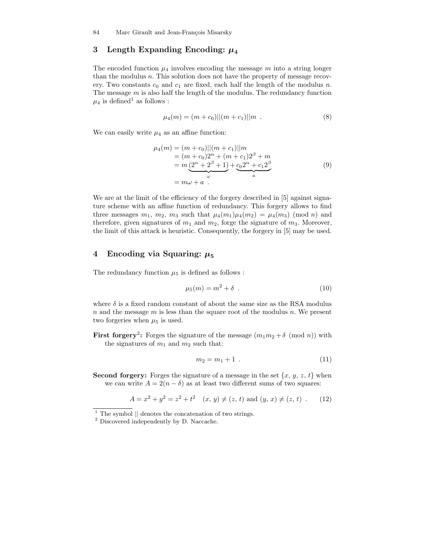# 3 Length Expanding Encoding:  $\mu_4$

The encoded function  $\mu_4$  involves encoding the message m into a string longer than the modulus  $n$ . This solution does not have the property of message recovery. Two constants  $c_0$  and  $c_1$  are fixed, each half the length of the modulus n. The message  $m$  is also half the length of the modulus. The redundancy function  $\mu_4$  is defined<sup>1</sup> as follows :

$$
\mu_4(m) = (m + c_0)||(m + c_1)||m . \tag{8}
$$

We can easily write  $\mu_4$  as an affine function:

$$
\mu_4(m) = (m + c_0)||(m + c_1)||m \n= (m + c_0)2^{\alpha} + (m + c_1)2^{\beta} + m \n= m(2^{\alpha} + 2^{\beta} + 1) + c_0 2^{\alpha} + c_1 2^{\beta} \n= m\omega + a
$$
\n(9)

We are at the limit of the efficiency of the forgery described in [5] against signature scheme with an affine function of redundancy. This forgery allows to find three messages  $m_1$ ,  $m_2$ ,  $m_3$  such that  $\mu_4(m_1)\mu_4(m_2) = \mu_4(m_3) \pmod{n}$  and therefore, given signatures of  $m_1$  and  $m_2$ , forge the signature of  $m_3$ . Moreover, the limit of this attack is heuristic. Consequently, the forgery in [5] may be used.

# 4 Encoding via Squaring:  $\mu_5$

The redundancy function  $\mu_5$  is defined as follows :

$$
\mu_5(m) = m^2 + \delta \tag{10}
$$

where  $\delta$  is a fixed random constant of about the same size as the RSA modulus  $n$  and the message  $m$  is less than the square root of the modulus  $n$ . We present two forgeries when  $\mu_5$  is used.

**First forgery**<sup>2</sup>: Forges the signature of the message  $(m_1m_2 + \delta \pmod{n})$  with the signatures of  $m_1$  and  $m_2$  such that:

$$
m_2 = m_1 + 1 \tag{11}
$$

**Second forgery:** Forges the signature of a message in the set  $\{x, y, z, t\}$  when we can write  $A = 2(n - \delta)$  as at least two different sums of two squares:

$$
A = x2 + y2 = z2 + t2 \quad (x, y) \neq (z, t) \text{ and } (y, x) \neq (z, t) \tag{12}
$$

 $<sup>1</sup>$  The symbol  $\parallel$  denotes the concatenation of two strings.</sup>

<sup>2</sup> Discovered independently by D. Naccache.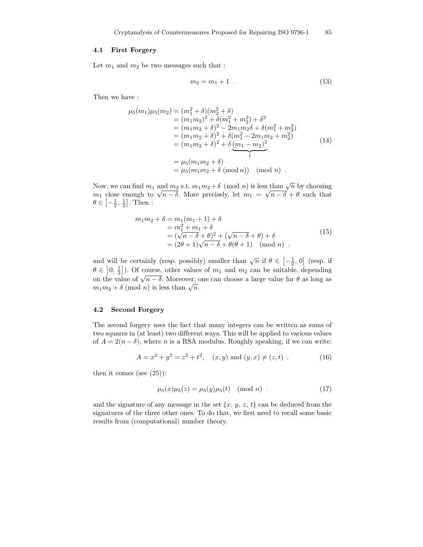### 4.1 First Forgery

Let  $m_1$  and  $m_2$  be two messages such that :

$$
m_2 = m_1 + 1 \tag{13}
$$

Then we have :

$$
\mu_5(m_1)\mu_5(m_2) = (m_1^2 + \delta)(m_2^2 + \delta)
$$
  
\n
$$
= (m_1m_2)^2 + \delta(m_1^2 + m_2^2) + \delta^2
$$
  
\n
$$
= (m_1m_2 + \delta)^2 - 2m_1m_2\delta + \delta(m_1^2 + m_2^2)
$$
  
\n
$$
= (m_1m_2 + \delta)^2 + \delta(m_1^2 - 2m_1m_2 + m_2^2)
$$
  
\n
$$
= (m_1m_2 + \delta)^2 + \delta\left(\frac{m_1 - m_2}{1}\right)^2
$$
  
\n
$$
= \mu_5(m_1m_2 + \delta)
$$
  
\n
$$
= \mu_5(m_1m_2 + \delta \pmod{n} \pmod{n} .
$$

Now, we can find  $m_1$  and  $m_2$  s.t.  $m_1m_2 + \delta \pmod{n}$  is less than  $\sqrt{n}$  by choosing m<sub>1</sub> close enough to  $\sqrt{n-\delta}$ . More precisely, let  $m_1 = \sqrt{n-\delta} + \theta$  such that  $\theta \in \left[-\frac{1}{2}, \frac{1}{2}\right]$ . Then :

$$
m_1 m_2 + \delta = m_1(m_1 + 1) + \delta
$$
  
=  $m_1^2 + m_1 + \delta$   
=  $(\sqrt{n - \delta} + \theta)^2 + (\sqrt{n - \delta} + \theta) + \delta$   
=  $(2\theta + 1)\sqrt{n - \delta} + \theta(\theta + 1) \pmod{n}$ . (15)

and will be certainly (resp. possibly) smaller than  $\sqrt{n}$  if  $\theta \in \left[-\frac{1}{2}, 0\right]$  (resp. if  $\theta \in \left]0, \frac{1}{2}\right]$ ). Of course, other values of  $m_1$  and  $m_2$  can be suitable, depending on the value of  $\sqrt{n-\delta}$ . Moreover, one can choose a large value for  $\theta$  as long as  $m_1m_2 + \delta \pmod{n}$  is less than  $\sqrt{n}$ .

### 4.2 Second Forgery

The second forgery uses the fact that many integers can be written as sums of two squares in (at least) two different ways. This will be applied to various values of  $A = 2(n - \delta)$ , where *n* is a RSA modulus. Roughly speaking, if we can write:

$$
A = x2 + y2 = z2 + t2, (x, y) and (y, x) \neq (z, t)
$$
 (16)

then it comes (see (25)):

$$
\mu_5(x)\mu_5(z) = \mu_5(y)\mu_5(t) \pmod{n} . \tag{17}
$$

and the signature of any message in the set  $\{x, y, z, t\}$  can be deduced from the signatures of the three other ones. To do that, we first need to recall some basic results from (computational) number theory.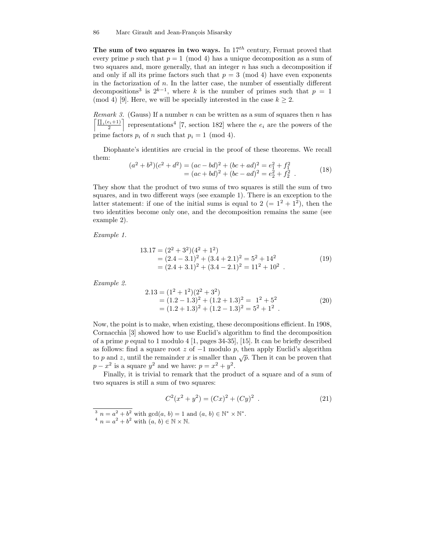The sum of two squares in two ways. In  $17<sup>th</sup>$  century, Fermat proved that every prime p such that  $p = 1 \pmod{4}$  has a unique decomposition as a sum of two squares and, more generally, that an integer  $n$  has such a decomposition if and only if all its prime factors such that  $p = 3 \pmod{4}$  have even exponents in the factorization of  $n$ . In the latter case, the number of essentially different decompositions<sup>3</sup> is  $2^{k-1}$ , where k is the number of primes such that  $p = 1$ (mod 4) [9]. Here, we will be specially interested in the case  $k \geq 2$ .

Remark 3. (Gauss) If a number n can be written as a sum of squares then n has  $\prod_i(e_i+1)$  $\frac{(e_i+1)}{2}$  representations<sup>4</sup> [7, section 182] where the  $e_i$  are the powers of the prime factors  $p_i$  of n such that  $p_i = 1 \pmod{4}$ .

Diophante's identities are crucial in the proof of these theorems. We recall them:

$$
(a2 + b2)(c2 + d2) = (ac - bd)2 + (bc + ad)2 = e12 + f12= (ac + bd)2 + (bc - ad)2 = e22 + f22.
$$
 (18)

They show that the product of two sums of two squares is still the sum of two squares, and in two different ways (see example 1). There is an exception to the latter statement: if one of the initial sums is equal to  $2 (= 1^2 + 1^2)$ , then the two identities become only one, and the decomposition remains the same (see example 2).

Example 1.

$$
13.17 = (22 + 32)(42 + 12)
$$
  
= (2.4 - 3.1)<sup>2</sup> + (3.4 + 2.1)<sup>2</sup> = 5<sup>2</sup> + 14<sup>2</sup>  
= (2.4 + 3.1)<sup>2</sup> + (3.4 - 2.1)<sup>2</sup> = 11<sup>2</sup> + 10<sup>2</sup>. (19)

Example 2.

$$
2.13 = (12 + 12)(22 + 32)
$$
  
= (1.2 - 1.3)<sup>2</sup> + (1.2 + 1.3)<sup>2</sup> = 1<sup>2</sup> + 5<sup>2</sup>  
= (1.2 + 1.3)<sup>2</sup> + (1.2 - 1.3)<sup>2</sup> = 5<sup>2</sup> + 1<sup>2</sup>. (20)

Now, the point is to make, when existing, these decompositions efficient. In 1908, Cornacchia [3] showed how to use Euclid's algorithm to find the decomposition of a prime p equal to 1 modulo 4 [1, pages 34-35], [15]. It can be briefly described as follows: find a square root  $z$  of  $-1$  modulo  $p$ , then apply Euclid's algorithm to p and z, until the remainder x is smaller than  $\sqrt{p}$ . Then it can be proven that  $p - x^2$  is a square  $y^2$  and we have:  $p = x^2 + y^2$ .

Finally, it is trivial to remark that the product of a square and of a sum of two squares is still a sum of two squares:

$$
C2(x2 + y2) = (Cx)2 + (Cy)2
$$
 (21)

<sup>&</sup>lt;sup>3</sup>  $n = a^2 + b^2$  with  $gcd(a, b) = 1$  and  $(a, b) \in \mathbb{N}^* \times \mathbb{N}^*$ . <sup>4</sup>  $n = a^2 + b^2$  with  $(a, b) \in \mathbb{N} \times \mathbb{N}$ .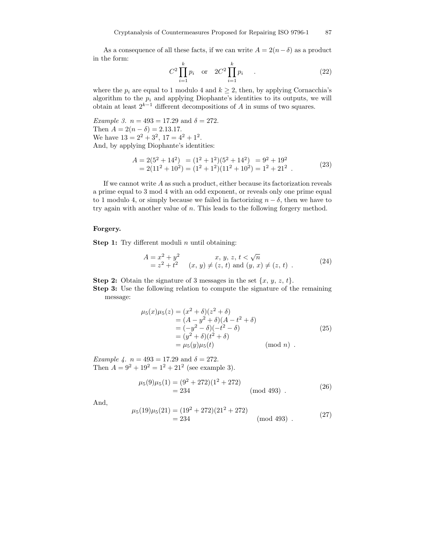As a consequence of all these facts, if we can write  $A = 2(n - \delta)$  as a product in the form:

$$
C^2 \prod_{i=1}^k p_i \quad \text{or} \quad 2C^2 \prod_{i=1}^k p_i \tag{22}
$$

where the  $p_i$  are equal to 1 modulo 4 and  $k \geq 2$ , then, by applying Cornacchia's algorithm to the  $p_i$  and applying Diophante's identities to its outputs, we will obtain at least  $2^{k-1}$  different decompositions of A in sums of two squares.

Example 3.  $n = 493 = 17.29$  and  $\delta = 272$ . Then  $A = 2(n - \delta) = 2.13.17$ . We have  $13 = 2^2 + 3^2$ ,  $17 = 4^2 + 1^2$ . And, by applying Diophante's identities:

$$
A = 2(52 + 142) = (12 + 12)(52 + 142) = 92 + 192
$$
  
= 2(11<sup>2</sup> + 10<sup>2</sup>) = (1<sup>2</sup> + 1<sup>2</sup>)(11<sup>2</sup> + 10<sup>2</sup>) = 1<sup>2</sup> + 21<sup>2</sup> . (23)

If we cannot write  $A$  as such a product, either because its factorization reveals a prime equal to 3 mod 4 with an odd exponent, or reveals only one prime equal to 1 modulo 4, or simply because we failed in factorizing  $n - \delta$ , then we have to try again with another value of n. This leads to the following forgery method.

### Forgery.

**Step 1:** Try different moduli  $n$  until obtaining:

$$
A = x2 + y2 \t x, y, z, t < \sqrt{n}
$$
  
= z<sup>2</sup> + t<sup>2</sup> (x, y)  $\neq$  (z, t) and (y, x)  $\neq$  (z, t). (24)

**Step 2:** Obtain the signature of 3 messages in the set  $\{x, y, z, t\}$ .

Step 3: Use the following relation to compute the signature of the remaining message:

$$
\mu_5(x)\mu_5(z) = (x^2 + \delta)(z^2 + \delta) \n= (A - y^2 + \delta)(A - t^2 + \delta) \n= (-y^2 - \delta)(-t^2 - \delta) \n= (y^2 + \delta)(t^2 + \delta) \n= \mu_5(y)\mu_5(t) \quad (\text{mod } n) .
$$
\n(25)

Example 4.  $n = 493 = 17.29$  and  $\delta = 272$ . Then  $A = 9^2 + 19^2 = 1^2 + 21^2$  (see example 3).

$$
\mu_5(9)\mu_5(1) = (9^2 + 272)(1^2 + 272)
$$
  
= 234 \t(mod 493). \t(26)

And,

$$
\mu_5(19)\mu_5(21) = (19^2 + 272)(21^2 + 272)
$$
  
= 234 \t(mod 493). \t(27)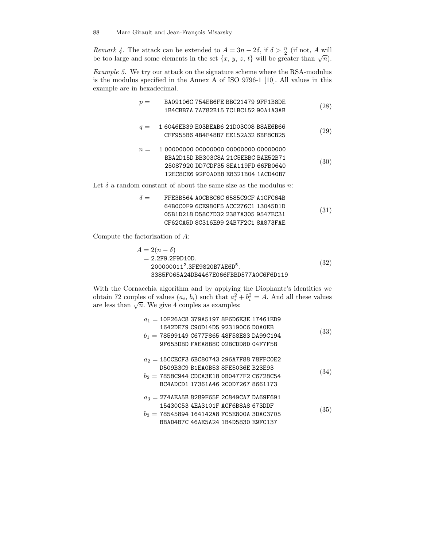Remark 4. The attack can be extended to  $A = 3n - 2\delta$ , if  $\delta > \frac{n}{2}$  (if not, A will be too large and some elements in the set  $\{x, y, z, t\}$  will be greater than  $\sqrt{n}$ ).

Example 5. We try our attack on the signature scheme where the RSA-modulus is the modulus specified in the Annex A of ISO 9796-1 [10]. All values in this example are in hexadecimal.

|       | BA09106C 754EB6FE BBC21479 9FF1B8DE                    | (28) |
|-------|--------------------------------------------------------|------|
|       | 1B4CBB7A 7A782B15 7C1BC152 90A1A3AB                    |      |
|       |                                                        |      |
| $q =$ | 1 6046EB39 E03BEAB6 21D03C08 B8AE6B66                  | (29) |
|       | CFF955B6 4B4F48B7 EE152A32 6BF8CB25                    |      |
|       |                                                        |      |
| $n =$ | 1 00000000 00000000 00000000 00000000                  |      |
|       | BBA2D15D BB303C8A 21C5EBBC BAE52B71                    |      |
|       | 25087920 DD7CDF35 8EA119FD 66FB0640                    | (30) |
|       | 12EC8CE6 92F0A0B8 E8321B04 1ACD40B7                    |      |
|       | land can start of thems the same star could machine in |      |

Let  $\delta$  a random constant of about the same size as the modulus n:

| $\delta =$ | FFE3B564 AOCB8C6C 6585C9CF A1CFC64B |      |
|------------|-------------------------------------|------|
|            | 64B0C0F9 6CE980F5 ACC276C1 13045D1D |      |
|            | 05B1D218 D58C7D32 2387A305 9547EC31 | (31) |
|            | CF62CA5D 8C316F99 24B7F2C1 8A873FAF |      |

Compute the factorization of A:

$$
A = 2(n - \delta)
$$
  
= 2.2F9.2F9D10D.  
200000011<sup>2</sup>.3FE9820B7AEGD<sup>5</sup>.  
3385F065A24DB4467E066FBBD577A0CGF6D119 (32)

With the Cornacchia algorithm and by applying the Diophante's identities we obtain 72 couples of values  $(a_i, b_i)$  such that  $a_i^2 + b_i^2 = A$ . And all these values are less than  $\sqrt{n}$ . We give 4 couples as examples:

| $a_1 = 10F26AC8379A51978F6D6E3E17461ED9$<br>1642DE79 C90D14D5 923190C6 DOAOEB<br>$b_1 = 78599149$ C677F865 48F58E83 DA99C194<br>9F653DBD FAEA8B8C 02BCDD8D 04F7F5B     | (33) |
|------------------------------------------------------------------------------------------------------------------------------------------------------------------------|------|
| $a_2 = 15$ CCECF3 6BC80743 296A7F88 78FFC0E2<br>D509B3C9 B1EA0B53 8FE5036E B23E93<br>$b_2 = 7858C944$ CDCA3E18 0B0477F2 C6728C54<br>BC4ADCD1 17361A46 2C0D7267 8661173 | (34) |
| $a_3 = 274$ AEA5B 8289F65F 2C849CA7 DA69F691<br>15430C53 4EA3101F ACF6B8A8 673DDF<br>$b_3 = 78545894$ 164142A8 FC5E800A 3DAC3705<br>BBAD4B7C 46AE5A24 1B4D5830 E9FC137 | (35) |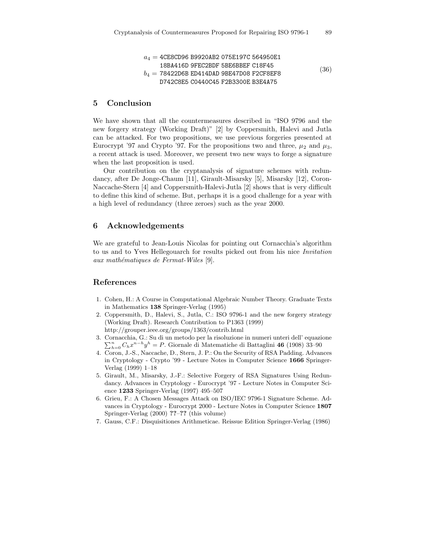$$
a_4 = \text{4CESCD96 B9920AB2 O75E197C 564950E1}
$$
\n
$$
18BA416D 9FEC2BDF 5BE6BBEF C18F45
$$
\n
$$
b_4 = 78422D6B ED414DAD 9BE47D08 F2CF8EF8\nD742C8E5 C0440C45 F2B3300E B3E4A75
$$
\n
$$
(36)
$$

## 5 Conclusion

We have shown that all the countermeasures described in "ISO 9796 and the new forgery strategy (Working Draft)" [2] by Coppersmith, Halevi and Jutla can be attacked. For two propositions, we use previous forgeries presented at Eurocrypt '97 and Crypto '97. For the propositions two and three,  $\mu_2$  and  $\mu_3$ , a recent attack is used. Moreover, we present two new ways to forge a signature when the last proposition is used.

Our contribution on the cryptanalysis of signature schemes with redundancy, after De Jonge-Chaum [11], Girault-Misarsky [5], Misarsky [12], Coron-Naccache-Stern [4] and Coppersmith-Halevi-Jutla [2] shows that is very difficult to define this kind of scheme. But, perhaps it is a good challenge for a year with a high level of redundancy (three zeroes) such as the year 2000.

### 6 Acknowledgements

We are grateful to Jean-Louis Nicolas for pointing out Cornacchia's algorithm to us and to Yves Hellegouarch for results picked out from his nice Invitation aux mathématiques de Fermat-Wiles [9].

# References

- 1. Cohen, H.: A Course in Computational Algebraic Number Theory. Graduate Texts in Mathematics 138 Springer-Verlag (1995)
- 2. Coppersmith, D., Halevi, S., Jutla, C.: ISO 9796-1 and the new forgery strategy (Working Draft). Research Contribution to P1363 (1999) http://grouper.ieee.org/groups/1363/contrib.html
- 3. Cornacc hia, G.: Su di un metodo per la risoluzione in numeri unteri dell' equazione  $\sum_{h=0}^{n} C_h x^{n-h} y^h = P$ . Giornale di Matematiche di Battaglini 46 (1908) 33–90
- 4. Coron, J.-S., Naccache, D., Stern, J. P.: On the Security of RSA Padding. Advances in Cryptology - Crypto '99 - Lecture Notes in Computer Science 1666 Springer-Verlag (1999) 1–18
- 5. Girault, M., Misarsky, J.-F.: Selective Forgery of RSA Signatures Using Redundancy. Advances in Cryptology - Eurocrypt '97 - Lecture Notes in Computer Science 1233 Springer-Verlag (1997) 495–507
- 6. Grieu, F.: A Chosen Messages Attack on ISO/IEC 9796-1 Signature Scheme. Advances in Cryptology - Eurocrypt 2000 - Lecture Notes in Computer Science 1807 Springer-Verlag (2000) ??–?? (this volume)
- 7. Gauss, C.F.: Disquisitiones Arithmeticae. Reissue Edition Springer-Verlag (1986)